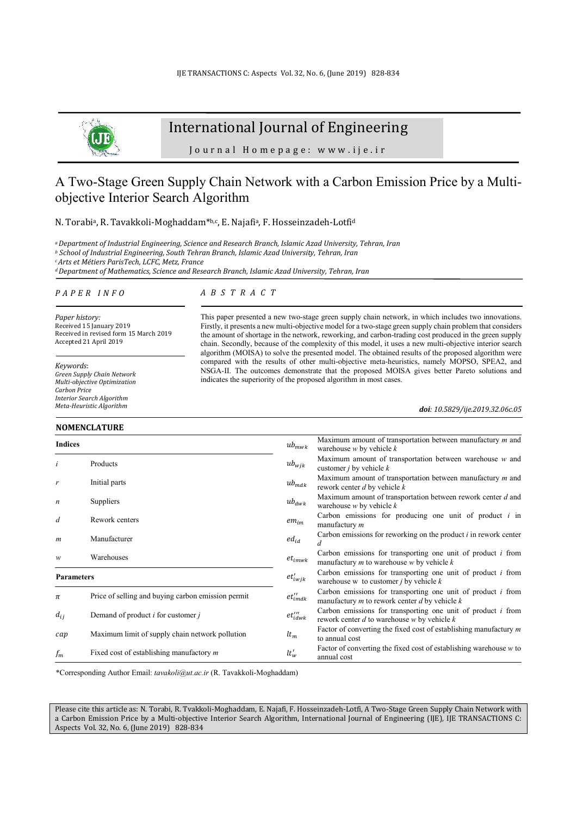

# International Journal of Engineering

Journal Homepage: www.ije.ir

# A Two-Stage Green Supply Chain Network with a Carbon Emission Price by a Multiobjective Interior Search Algorithm

N. Torabi<sup>a</sup>, R. Tavakkoli-Moghaddam<sup>\*b,c</sup>, E. Najafi<sup>a</sup>, F. Hosseinzadeh-Lotfi<sup>d</sup>

*<sup>a</sup>Department of Industrial Engineering, Science and Research Branch, Islamic Azad University, Tehran, Iran* 

*b School of Industrial Engineering, South Tehran Branch, Islamic Azad University, Tehran, Iran* 

*<sup>c</sup>Arts et Métiers ParisTech, LCFC, Metz, France* 

*<sup>d</sup>Department of Mathematics, Science and Research Branch, Islamic Azad University, Tehran, Iran* 

#### *P A P E R I N F O*

*Paper history:*  Received 15 January 2019 Received in revised form 15 March 2019 Accepted 21 April 2019

*Keywords*: *Green Supply Chain Network Multi-objective Optimization Carbon Price Interior Search Algorithm Meta-Heuristic Algorithm* 

### **NOMENCLATURE**

# *A B S T R A C T*

This paper presented a new two-stage green supply chain network, in which includes two innovations. Firstly, it presents a new multi-objective model for a two-stage green supply chain problem that considers the amount of shortage in the network, reworking, and carbon-trading cost produced in the green supply chain. Secondly, because of the complexity of this model, it uses a new multi-objective interior search algorithm (MOISA) to solve the presented model. The obtained results of the proposed algorithm were compared with the results of other multi-objective meta-heuristics, namely MOPSO, SPEA2, and NSGA-II. The outcomes demonstrate that the proposed MOISA gives better Pareto solutions and indicates the superiority of the proposed algorithm in most cases.

*doi: 10.5829/ije.2019.32.06c.05*

| <b>Indices</b>    |                                                    | $ub_{mwk}$                         | Maximum amount of transportation between manufactury $m$ and<br>warehouse $w$ by vehicle $k$                          |
|-------------------|----------------------------------------------------|------------------------------------|-----------------------------------------------------------------------------------------------------------------------|
|                   | Products                                           | $ub_{wjk}$                         | Maximum amount of transportation between warehouse $w$ and<br>customer $j$ by vehicle $k$                             |
| r                 | Initial parts                                      | $ub_{mdk}$                         | Maximum amount of transportation between manufactury $m$ and<br>rework center $d$ by vehicle $k$                      |
| n                 | Suppliers                                          | $ub_{dwk}$                         | Maximum amount of transportation between rework center $d$ and<br>warehouse $w$ by vehicle $k$                        |
| d                 | Rework centers                                     | $em_{im}$                          | Carbon emissions for producing one unit of product $i$ in<br>manufactury m                                            |
| $\boldsymbol{m}$  | Manufacturer                                       | $ed_{id}$                          | Carbon emissions for reworking on the product $i$ in rework center<br>d                                               |
| $\boldsymbol{w}$  | Warehouses                                         | $et_{imwk}$                        | Carbon emissions for transporting one unit of product $i$ from<br>manufactury $m$ to warehouse $w$ by vehicle $k$     |
| <b>Parameters</b> |                                                    | $et'_{iwjk}$                       | Carbon emissions for transporting one unit of product $i$ from<br>warehouse w to customer $j$ by vehicle $k$          |
| π                 | Price of selling and buying carbon emission permit | $et_{imdk}''$                      | Carbon emissions for transporting one unit of product $i$ from<br>manufactury $m$ to rework center $d$ by vehicle $k$ |
| $d_{ii}$          | Demand of product $i$ for customer $j$             | $et_{idwk}^{\prime \prime \prime}$ | Carbon emissions for transporting one unit of product $i$ from<br>rework center $d$ to warehouse $w$ by vehicle $k$   |
| cap               | Maximum limit of supply chain network pollution    | $lt_m$                             | Factor of converting the fixed cost of establishing manufactury m<br>to annual cost                                   |
| $f_m$             | Fixed cost of establishing manufactory $m$         | $lt'_w$                            | Factor of converting the fixed cost of establishing warehouse $w$ to<br>annual cost                                   |

\*Corresponding Author Email: *tavakoli@ut.ac.ir* (R. Tavakkoli-Moghaddam)

Please cite this article as: N. Torabi, R. Tvakkoli-Moghaddam, E. Najafi, F. Hosseinzadeh-Lotfi, A Two-Stage Green Supply Chain Network with a Carbon Emission Price by a Multi-objective Interior Search Algorithm, International Journal of Engineering (IJE), IJE TRANSACTIONS C: Aspects Vol. 32, No. 6, (June 2019) 828-834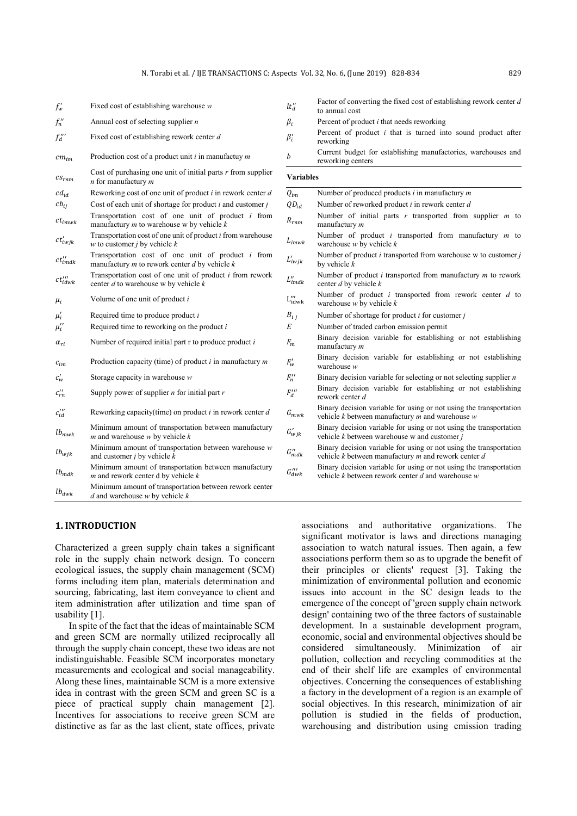| $f'_{w}$                   | Fixed cost of establishing warehouse $w$                                                                 | $lt''_d$                       | Factor of converting the fixed cost of establishing rework center $d$<br>to annual cost                                         |
|----------------------------|----------------------------------------------------------------------------------------------------------|--------------------------------|---------------------------------------------------------------------------------------------------------------------------------|
| $f''_n$                    | Annual cost of selecting supplier $n$                                                                    | $\beta_i$                      | Percent of product $i$ that needs reworking                                                                                     |
| $f''_d$                    | Fixed cost of establishing rework center d                                                               | $\beta_i'$                     | Percent of product $i$ that is turned into sound product after<br>reworking                                                     |
| $cm_{im}$                  | Production cost of a product unit $i$ in manufactuy $m$                                                  | $\boldsymbol{b}$               | Current budget for establishing manufactories, warehouses and<br>reworking centers                                              |
| $cs_{rnm}$                 | Cost of purchasing one unit of initial parts $r$ from supplier<br>$n$ for manufactury $m$                | <b>Variables</b>               |                                                                                                                                 |
| $cd_{id}$                  | Reworking cost of one unit of product $i$ in rework center $d$                                           | $Q_{im}$                       | Number of produced products $i$ in manufactury $m$                                                                              |
| $cb_{ij}$                  | Cost of each unit of shortage for product $i$ and customer $j$                                           | $QD_{id}$                      | Number of reworked product $i$ in rework center $d$                                                                             |
| $ct_{imwk}$                | Transportation cost of one unit of product $i$ from<br>manufactury $m$ to warehouse w by vehicle $k$     | $\mathcal{R}_{rnm}$            | Number of initial parts $r$ transported from supplier $m$ to<br>manufactury m                                                   |
| $ct'_{iwjk}$               | Transportation cost of one unit of product i from warehouse<br>$w$ to customer <i>j</i> by vehicle $k$   | ${\cal L}_{imwk}$              | Number of product $i$ transported from manufactury $m$ to<br>warehouse $w$ by vehicle $k$                                       |
| $ct_{imdk}^{\prime\prime}$ | Transportation cost of one unit of product i from<br>manufactury $m$ to rework center $d$ by vehicle $k$ | $L'_{iwjk}$                    | Number of product $i$ transported from warehouse w to customer $j$<br>by vehicle $k$                                            |
| $ct''_{idwk}$              | Transportation cost of one unit of product $i$ from rework<br>center $d$ to warehouse w by vehicle $k$   | $L_{imdk}^{\prime\prime}$      | Number of product $i$ transported from manufactury $m$ to rework<br>center $d$ by vehicle $k$                                   |
| $\mu_i$                    | Volume of one unit of product $i$                                                                        | $L''_{idwk}$                   | Number of product $i$ transported from rework center $d$ to<br>warehouse $w$ by vehicle $k$                                     |
| $\mu'_i$                   | Required time to produce product $i$                                                                     | $B_{i,j}$                      | Number of shortage for product $i$ for customer $j$                                                                             |
| $\mu''_i$                  | Required time to reworking on the product $i$                                                            | $\cal E$                       | Number of traded carbon emission permit                                                                                         |
| $\alpha_{ri}$              | Number of required initial part $r$ to produce product $i$                                               | $F_m$                          | Binary decision variable for establishing or not establishing<br>manufactury m                                                  |
| $c_{im}$                   | Production capacity (time) of product $i$ in manufactury $m$                                             | $F'_{w}$                       | Binary decision variable for establishing or not establishing<br>warehouse $w$                                                  |
| $c'_w$                     | Storage capacity in warehouse $w$                                                                        | $F_n''$                        | Binary decision variable for selecting or not selecting supplier $n$                                                            |
| $c_{rn}^{\prime\prime}$    | Supply power of supplier $n$ for initial part $r$                                                        | $F''_d$                        | Binary decision variable for establishing or not establishing<br>rework center d                                                |
| $c''_{id}$                 | Reworking capacity(time) on product $i$ in rework center $d$                                             | ${\cal G}_{mwk}$               | Binary decision variable for using or not using the transportation<br>vehicle $k$ between manufactury $m$ and warehouse $w$     |
| $lb_{mwk}$                 | Minimum amount of transportation between manufactury<br>$m$ and warehouse $w$ by vehicle $k$             | $G'_{wjk}$                     | Binary decision variable for using or not using the transportation<br>vehicle $k$ between warehouse w and customer $j$          |
| $lb_{wjk}$                 | Minimum amount of transportation between warehouse $w$<br>and customer $j$ by vehicle $k$                | $G_{mdk}^{\prime\prime}$       | Binary decision variable for using or not using the transportation<br>vehicle $k$ between manufactury $m$ and rework center $d$ |
| $lb_{mdk}$                 | Minimum amount of transportation between manufactury<br>$m$ and rework center d by vehicle $k$           | $G^{\prime\prime\prime}_{dwk}$ | Binary decision variable for using or not using the transportation<br>vehicle $k$ between rework center $d$ and warehouse $w$   |
| $lb_{dwk}$                 | Minimum amount of transportation between rework center<br>$d$ and warehouse $w$ by vehicle $k$           |                                |                                                                                                                                 |

# **1. INTRODUCTION**

Characterized a green supply chain takes a significant role in the supply chain network design. To concern ecological issues, the supply chain management (SCM) forms including item plan, materials determination and sourcing, fabricating, last item conveyance to client and item administration after utilization and time span of usability [1].

In spite of the fact that the ideas of maintainable SCM and green SCM are normally utilized reciprocally all through the supply chain concept, these two ideas are not indistinguishable. Feasible SCM incorporates monetary measurements and ecological and social manageability. Along these lines, maintainable SCM is a more extensive idea in contrast with the green SCM and green SC is a piece of practical supply chain management [2]. Incentives for associations to receive green SCM are distinctive as far as the last client, state offices, private associations and authoritative organizations. The significant motivator is laws and directions managing association to watch natural issues. Then again, a few associations perform them so as to upgrade the benefit of their principles or clients' request [3]. Taking the minimization of environmental pollution and economic issues into account in the SC design leads to the emergence of the concept of 'green supply chain network design' containing two of the three factors of sustainable development. In a sustainable development program, economic, social and environmental objectives should be considered simultaneously. Minimization of air pollution, collection and recycling commodities at the end of their shelf life are examples of environmental objectives. Concerning the consequences of establishing a factory in the development of a region is an example of social objectives. In this research, minimization of air pollution is studied in the fields of production, warehousing and distribution using emission trading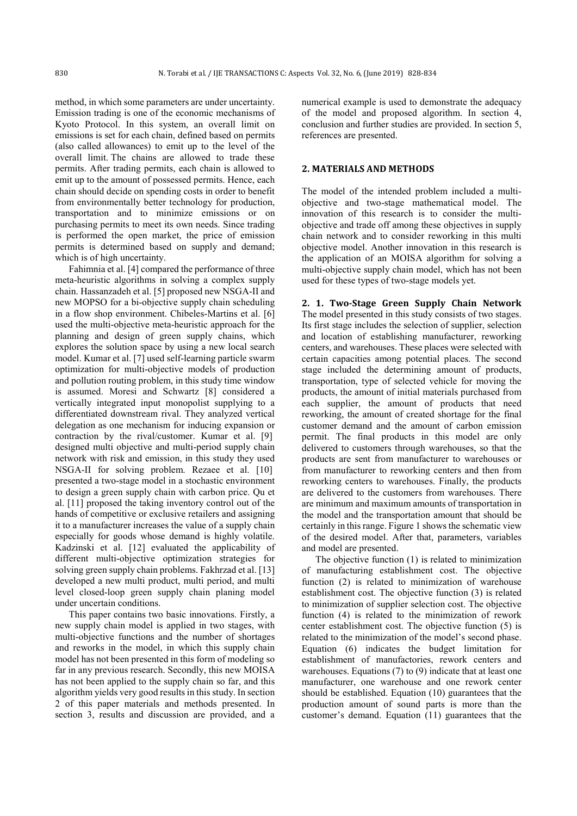method, in which some parameters are under uncertainty. Emission trading is one of the economic mechanisms of Kyoto Protocol. In this system, an overall limit on emissions is set for each chain, defined based on permits (also called allowances) to emit up to the level of the overall limit. The chains are allowed to trade these permits. After trading permits, each chain is allowed to emit up to the amount of possessed permits. Hence, each chain should decide on spending costs in order to benefit from environmentally better technology for production, transportation and to minimize emissions or on purchasing permits to meet its own needs. Since trading is performed the open market, the price of emission permits is determined based on supply and demand; which is of high uncertainty.

Fahimnia et al. [4] compared the performance of three meta-heuristic algorithms in solving a complex supply chain. Hassanzadeh et al. [5] proposed new NSGA-II and new MOPSO for a bi-objective supply chain scheduling in a flow shop environment. Chibeles-Martins et al. [6] used the multi-objective meta-heuristic approach for the planning and design of green supply chains, which explores the solution space by using a new local search model. Kumar et al. [7] used self-learning particle swarm optimization for multi-objective models of production and pollution routing problem, in this study time window is assumed. Moresi and Schwartz [8] considered a vertically integrated input monopolist supplying to a differentiated downstream rival. They analyzed vertical delegation as one mechanism for inducing expansion or contraction by the rival/customer. Kumar et al. [9] designed multi objective and multi-period supply chain network with risk and emission, in this study they used NSGA-II for solving problem. Rezaee et al. [10] presented a two-stage model in a stochastic environment to design a green supply chain with carbon price. Qu et al. [11] proposed the taking inventory control out of the hands of competitive or exclusive retailers and assigning it to a manufacturer increases the value of a supply chain especially for goods whose demand is highly volatile. Kadzinski et al. [12] evaluated the applicability of different multi-objective optimization strategies for solving green supply chain problems. Fakhrzad et al. [13] developed a new multi product, multi period, and multi level closed-loop green supply chain planing model under uncertain conditions.

This paper contains two basic innovations. Firstly, a new supply chain model is applied in two stages, with multi-objective functions and the number of shortages and reworks in the model, in which this supply chain model has not been presented in this form of modeling so far in any previous research. Secondly, this new MOISA has not been applied to the supply chain so far, and this algorithm yields very good results in this study. In section 2 of this paper materials and methods presented. In section 3, results and discussion are provided, and a numerical example is used to demonstrate the adequacy of the model and proposed algorithm. In section 4, conclusion and further studies are provided. In section 5, references are presented.

## **2. MATERIALS AND METHODS**

The model of the intended problem included a multiobjective and two-stage mathematical model. The innovation of this research is to consider the multiobjective and trade off among these objectives in supply chain network and to consider reworking in this multi objective model. Another innovation in this research is the application of an MOISA algorithm for solving a multi-objective supply chain model, which has not been used for these types of two-stage models yet.

**2. 1. Two-Stage Green Supply Chain Network**  The model presented in this study consists of two stages. Its first stage includes the selection of supplier, selection and location of establishing manufacturer, reworking centers, and warehouses. These places were selected with certain capacities among potential places. The second stage included the determining amount of products, transportation, type of selected vehicle for moving the products, the amount of initial materials purchased from each supplier, the amount of products that need reworking, the amount of created shortage for the final customer demand and the amount of carbon emission permit. The final products in this model are only delivered to customers through warehouses, so that the products are sent from manufacturer to warehouses or from manufacturer to reworking centers and then from reworking centers to warehouses. Finally, the products are delivered to the customers from warehouses. There are minimum and maximum amounts of transportation in the model and the transportation amount that should be certainly in this range. Figure 1 shows the schematic view of the desired model. After that, parameters, variables and model are presented.

The objective function (1) is related to minimization of manufacturing establishment cost. The objective function (2) is related to minimization of warehouse establishment cost. The objective function (3) is related to minimization of supplier selection cost. The objective function (4) is related to the minimization of rework center establishment cost. The objective function (5) is related to the minimization of the model's second phase. Equation (6) indicates the budget limitation for establishment of manufactories, rework centers and warehouses. Equations (7) to (9) indicate that at least one manufacturer, one warehouse and one rework center should be established. Equation (10) guarantees that the production amount of sound parts is more than the customer's demand. Equation (11) guarantees that the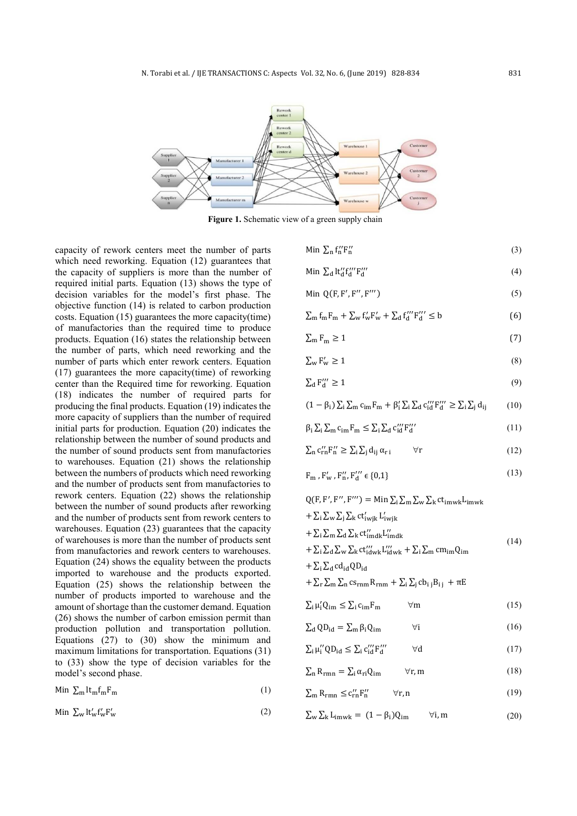

Figure 1. Schematic view of a green supply chain

capacity of rework centers meet the number of parts which need reworking. Equation (12) guarantees that the capacity of suppliers is more than the number of required initial parts. Equation (13) shows the type of decision variables for the model's first phase. The objective function (14) is related to carbon production costs. Equation (15) guarantees the more capacity(time) of manufactories than the required time to produce products. Equation (16) states the relationship between the number of parts, which need reworking and the number of parts which enter rework centers. Equation (17) guarantees the more capacity(time) of reworking center than the Required time for reworking. Equation (18) indicates the number of required parts for producing the final products. Equation (19) indicates the more capacity of suppliers than the number of required initial parts for production. Equation (20) indicates the relationship between the number of sound products and the number of sound products sent from manufactories to warehouses. Equation (21) shows the relationship between the numbers of products which need reworking and the number of products sent from manufactories to rework centers. Equation (22) shows the relationship between the number of sound products after reworking and the number of products sent from rework centers to warehouses. Equation (23) guarantees that the capacity of warehouses is more than the number of products sent from manufactories and rework centers to warehouses. Equation (24) shows the equality between the products imported to warehouse and the products exported. Equation (25) shows the relationship between the number of products imported to warehouse and the amount of shortage than the customer demand. Equation (26) shows the number of carbon emission permit than production pollution and transportation pollution. Equations (27) to (30) show the minimum and maximum limitations for transportation. Equations (31) to (33) show the type of decision variables for the model's second phase.

$$
\text{Min } \sum_{m} \text{lt}_{m} \text{f}_{m} \text{F}_{m} \tag{1}
$$

$$
\text{Min } \Sigma_{\mathbf{w}} \operatorname{lt}_{\mathbf{w}}' \operatorname{ft}_{\mathbf{w}}' \operatorname{F}_{\mathbf{w}}' \tag{2}
$$

Min  $\sum_{n} f''_{n} F''_{n}$  (3)

$$
\text{Min } \sum_{\mathbf{d}} \mathbf{l} \mathbf{t}_{\mathbf{d}}^{\prime\prime} \mathbf{f}_{\mathbf{d}}^{\prime\prime\prime} \mathbf{F}_{\mathbf{d}}^{\prime\prime\prime} \tag{4}
$$

$$
\text{Min } Q(F, F', F'', F''') \tag{5}
$$

$$
\sum_{m} f_{m} F_{m} + \sum_{w} f'_{w} F'_{w} + \sum_{d} f''_{d} F'''_{d} \leq b \tag{6}
$$

$$
\sum_{m} F_m \ge 1\tag{7}
$$

$$
\sum_{w} \mathbf{F}'_{w} \ge 1\tag{8}
$$

$$
\sum_{\mathbf{d}} \mathbf{F}_{\mathbf{d}}^{\prime\prime\prime} \ge 1\tag{9}
$$

$$
(1 - \beta_i) \sum_i \sum_m c_{im} F_m + \beta'_i \sum_i \sum_d c''_d F''_d \ge \sum_i \sum_j d_{ij} \tag{10}
$$

$$
\beta_i \sum_i \sum_m c_{im} F_m \le \sum_i \sum_d c_{id}^{\prime\prime\prime} F_{d}^{\prime\prime\prime}
$$
\n(11)

$$
\sum_{n} c_{rn}^{\prime\prime} F_{n}^{\prime\prime} \ge \sum_{i} \sum_{j} d_{ij} \alpha_{r i} \qquad \forall r \qquad (12)
$$

$$
F_m, F'_w, F''_n, F''_d \in \{0, 1\}
$$
 (13)

 $Q(F, F', F'', F''') = \text{Min} \sum_{i} \sum_{m} \sum_{w} \sum_{k} ct_{imwk} L_{imwk}$  $+ \sum_i \sum_w \sum_i \sum_k ct'_{iwhk} L'_{iwhk}$  $+ \sum_i \sum_m \sum_d \sum_k ct''_{imdk} L''_{imdk}$  $+ \sum_{i} \sum_{d} \sum_{w} \sum_{k} ct'''_{idwk} L'''_{idwk} + \sum_{i} \sum_{m} cm_{im} Q_{im}$  $+ \sum_i \sum_d \text{cd}_{id} \text{QD}_{id}$  $+ \sum_{\rm r} \sum_{\rm m} \sum_{\rm n} c s_{\rm rnm} R_{\rm rnm} + \sum_{\rm i} \sum_{\rm j} c b_{\rm i j} B_{\rm i j} + \pi E$ (14) ∑ μ Q- ≤ ∑ c-F- ∀m (15)  $\sum_{\mathbf{d}} \mathbf{Q} \mathbf{D}_{\mathbf{id}} = \sum_{\mathbf{m}} \beta_{\mathbf{i}} \mathbf{Q}_{\mathbf{i}\mathbf{m}}$   $\forall \mathbf{i}$  (16)  $\sum_{i} \mu''_i Q D_{id} \leq \sum_{i} c''_i F''_d \qquad \forall d$  (17)

$$
\sum_{n} R_{rmn} = \sum_{i} \alpha_{ri} Q_{im} \qquad \forall r, m \qquad (18)
$$

$$
\sum_{m} R_{rmn} \leq c_{rn}^{\prime\prime} F_{n}^{\prime\prime} \qquad \forall r, n \qquad (19)
$$

$$
\sum_{w} \sum_{k} L_{imwk} = (1 - \beta_i) Q_{im} \qquad \forall i, m \qquad (20)
$$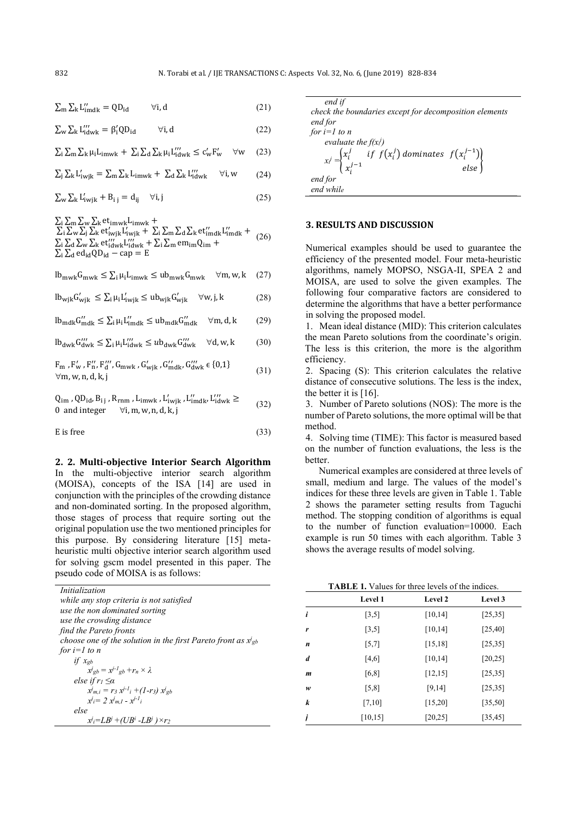$\sum_{\mathbf{n}} \sum_{\mathbf{k}} L_{\text{imdk}}^{\prime\prime} = Q D_{\text{id}}$   $\forall i, d$  (21)

$$
\sum_{w} \sum_{k} L_{idwk}^{\prime\prime\prime} = \beta_i^{\prime} Q D_{id} \qquad \forall i, d \qquad (22)
$$

$$
\sum_{i} \sum_{m} \sum_{k} \mu_{i} L_{imwk} + \sum_{i} \sum_{d} \sum_{k} \mu_{i} L_{idwk}'' \le c_{w}' F_{w}' \quad \forall w \quad (23)
$$

$$
\sum_{j} \sum_{k} L'_{i\text{wjk}} = \sum_{m} \sum_{k} L_{imwk} + \sum_{d} \sum_{k} L''_{idwk} \quad \forall i, w \qquad (24)
$$

$$
\sum_{\mathbf{w}} \sum_{\mathbf{k}} L'_{\mathbf{i}\mathbf{w}\mathbf{i}\mathbf{k}} + B_{i\mathbf{i}} = d_{i\mathbf{i}} \quad \forall i, j \tag{25}
$$

 $\Sigma_i \Sigma_m \Sigma_w \Sigma_k$  et<sub>imwk</sub>L<sub>imwk</sub> +

 $\sum_{i} \sum_{w} \sum_{k} \sum_{k} \sum_{i}^{\text{max}} \sum_{wik} L'_{iwik} + \sum_{i} \sum_{m} \sum_{d} \sum_{k} \sum_{i'}^{\text{max}} L'_{imdk}^{\text{max}} +$  $\sum_{i} \sum_{d} \sum_{w} \sum_{k}$ et'''  $\sum_{i}$ '''  $\sum_{w}$ k +  $\sum_{i} \sum_{m}$ em<sub>im</sub> $Q_{im}$  +  $\Sigma_i \Sigma_d$  ed<sub>id</sub>QD<sub>id</sub> – cap = E (26)

$$
lb_{\text{mwk}} G_{\text{mwk}} \le \sum_{i} \mu_i L_{\text{imwk}} \le ub_{\text{mwk}} G_{\text{mwk}} \quad \forall m, w, k \quad (27)
$$

$$
lb_{wjk}G'_{wjk} \le \sum_{i} \mu_{i}L'_{iwijk} \le ub_{wjk}G'_{wjk} \quad \forall w, j, k
$$
 (28)

- $lb_{mdk} G''_{mdk} \leq \sum_{i} \mu_i L''_{imdk} \leq ub_{mdk} G''_{mdk}$  $\forall$ m, d, k (29)
- $lb_{dwk} G''_{dwk} \leq \sum_{i} \mu_i L''_{idwk} \leq ub_{dwk} G''_{dwk}$  $\forall d, w, k$  (30)

 $F_m$ ,  $F'_w$ ,  $F''_u$ ,  $F''_d$ ,  $G_{\text{mwk}}$ ,  $G'_{wik}$ ,  $G''_{mdk}$ ,  $G''_{dwk}$   $\in \{0,1\}$ ∀m, w, n, d, k, j (31)

$$
Q_{im}, QD_{id}, B_{ij}, R_{rnm}, L_{imwk}, L'_{iwjk}, L''_{imdk}, L''_{idwk} \ge 0 \text{ and integer } \forall i, m, w, n, d, k, j
$$
\n(32)

 $E$  is free (33)

**2. 2. Multi-objective Interior Search Algorithm**  In the multi-objective interior search algorithm (MOISA), concepts of the ISA [14] are used in conjunction with the principles of the crowding distance and non-dominated sorting. In the proposed algorithm, those stages of process that require sorting out the original population use the two mentioned principles for this purpose. By considering literature [15] metaheuristic multi objective interior search algorithm used for solving gscm model presented in this paper. The pseudo code of MOISA is as follows:

| Initialization                                                                          |   | <b>TABLE 1. Valy</b> |
|-----------------------------------------------------------------------------------------|---|----------------------|
| while any stop criteria is not satisfied                                                |   | Level 1              |
| use the non dominated sorting<br>use the crowding distance                              |   | [3,5]                |
| find the Pareto fronts                                                                  | r | [3,5]                |
| choose one of the solution in the first Pareto front as $x_{gb}$<br>for $i=1$ to n      | n | [5,7]                |
| if $x_{gb}$                                                                             | d | [4,6]                |
| $x^{j}_{gb} = x^{j-l}_{gb} + r_n \times \lambda$<br>else if $r_1 \leq \alpha$           | m | [6,8]                |
| $x^{j}$ <sub>m,i</sub> = $r_3 x^{j-l}$ <sub>i</sub> + (1- $r_3$ ) $x^{j}$ <sub>gb</sub> | w | $\lceil 5, 8 \rceil$ |
| $x^{j} = 2 x^{j} m I - x^{j-l} i$                                                       | k | [7,10]               |
| else<br>$x_i = LB^i + (UB^i - LB^i) \times r_2$                                         |   | [10, 15]             |

*end if check the boundaries except for decomposition elements end for for*  $i=1$  *to n evaluate the f(x<sup>i</sup> j )*   $\left[ x_i \right] = \begin{cases} x_i^j \end{cases}$  $\int_i^j$  if  $f(x_i^j)$  $\binom{j}{i}$  dominates  $f(x_i^{j-1})$  $x_i^{j-1}$  by  $f(x_i)$  dominates  $f(x_i)$ <br> $y_i^{j-1}$  else *end for end while* 

#### **3. RESULTS AND DISCUSSION**

Numerical examples should be used to guarantee the efficiency of the presented model. Four meta-heuristic algorithms, namely MOPSO, NSGA-II, SPEA 2 and MOISA, are used to solve the given examples. The following four comparative factors are considered to determine the algorithms that have a better performance in solving the proposed model.

1. Mean ideal distance (MID): This criterion calculates the mean Pareto solutions from the coordinate's origin. The less is this criterion, the more is the algorithm efficiency.

2. Spacing (S): This criterion calculates the relative distance of consecutive solutions. The less is the index, the better it is  $[16]$ .

3. Number of Pareto solutions (NOS): The more is the number of Pareto solutions, the more optimal will be that method.

4. Solving time (TIME): This factor is measured based on the number of function evaluations, the less is the **better** 

Numerical examples are considered at three levels of small, medium and large. The values of the model's indices for these three levels are given in Table 1. Table 2 shows the parameter setting results from Taguchi method. The stopping condition of algorithms is equal to the number of function evaluation=10000. Each example is run 50 times with each algorithm. Table 3 shows the average results of model solving.

| <b>TABLE 1.</b> Values for three levels of the indices. |  |  |  |
|---------------------------------------------------------|--|--|--|
|                                                         |  |  |  |

|   | <b>Level 1</b> | <b>Level 2</b> | Level 3  |
|---|----------------|----------------|----------|
| i | [3,5]          | [10, 14]       | [25, 35] |
| r | [3,5]          | [10, 14]       | [25, 40] |
| n | [5,7]          | [15, 18]       | [25, 35] |
| d | [4,6]          | [10, 14]       | [20, 25] |
| m | [6,8]          | [12, 15]       | [25, 35] |
| w | [5,8]          | [9,14]         | [25, 35] |
| k | [7,10]         | [15,20]        | [35,50]  |
| i | [10, 15]       | [20, 25]       | [35, 45] |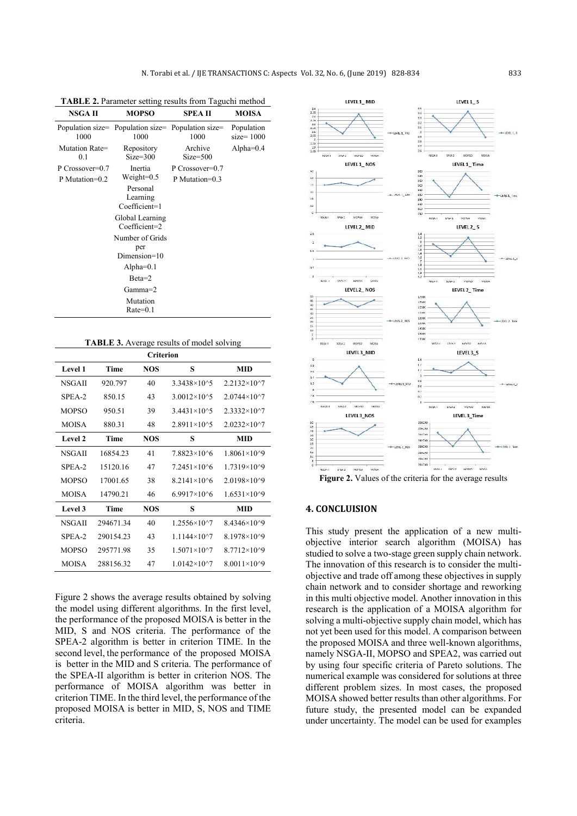| NSGA II<br><b>MOPSO</b>           |                                                            | SPEA II                           | <b>MOISA</b>              |
|-----------------------------------|------------------------------------------------------------|-----------------------------------|---------------------------|
| 1000                              | Population size= Population size= Population size=<br>1000 | 1000                              | Population<br>$size=1000$ |
| Mutation Rate=<br>0.1             | Repository<br>$Size = 300$                                 | Archive<br>$Size = 500$           | Alpha= $0.4$              |
| P Crossover=0.7<br>P Mutation=0.2 | Inertia<br>$Weight=0.5$                                    | P Crossover=0.7<br>P Mutation=0.3 |                           |
|                                   | Personal<br>Learning<br>Coefficient=1                      |                                   |                           |
|                                   | Global Learning<br>Coefficient=2                           |                                   |                           |
|                                   | Number of Grids                                            |                                   |                           |
|                                   | per<br>$Dimension=10$                                      |                                   |                           |
|                                   | Alpha= $0.1$                                               |                                   |                           |
|                                   | $Beta=2$                                                   |                                   |                           |
|                                   | Gamma=2                                                    |                                   |                           |
|                                   | Mutation<br>$Rate=0.1$                                     |                                   |                           |

**TABLE 2.** Parameter setting results from Taguchi method

| <b>TABLE 3.</b> Average results of model solving |
|--------------------------------------------------|
|--------------------------------------------------|

| <b>Criterion</b> |           |            |                        |                        |  |
|------------------|-----------|------------|------------------------|------------------------|--|
| Level 1          | Time      | <b>NOS</b> | S                      | <b>MID</b>             |  |
| <b>NSGAII</b>    | 920.797   | 40         | 3.3438×10^5            | $2.2132\times10^{27}$  |  |
| SPEA-2           | 850.15    | 43         | 3.0012×10^5            | $2.0744\times10^{3}$   |  |
| <b>MOPSO</b>     | 950.51    | 39         | $3.4431\times10^{4}5$  | $2.3332\times10^{4}$   |  |
| MOISA            | 880.31    | 48         | $2.8911 \times 10^{6}$ | $2.0232\times10^{2}$   |  |
| Level 2          | Time      | <b>NOS</b> | s                      | <b>MID</b>             |  |
| <b>NSGAII</b>    | 1685423   | 41         | 78823×1046             | $1.8061\times10^{9}$   |  |
| $SPEA-2$         | 15120 16  | 47         | 7 2451×1046            | $1.7319\times10^{9}$   |  |
| <b>MOPSO</b>     | 17001.65  | 38         | 8 2141×1046            | $2.0198\times10^{9}$   |  |
| <b>MOISA</b>     | 14790.21  | 46         | $6.9917\times10^{6}$   | $1.6531\times10^{9}$   |  |
| Level 3          | Time      | NOS        | S                      | <b>MID</b>             |  |
| <b>NSGAII</b>    | 29467134  | 40         | 1 2556×10^7            | $8.4346 \times 10^{9}$ |  |
| $SPEA-2$         | 290154.23 | 43         | $1.1144\times10^{27}$  | $8.1978\times10^{9}$   |  |
| <b>MOPSO</b>     | 295771.98 | 35         | $1.5071\times10^{27}$  | $8.7712\times10^{9}$   |  |
| <b>MOISA</b>     | 288156.32 | 47         | $1.0142\times10^{2}$   | $8.0011\times10^{6}9$  |  |

Figure 2 shows the average results obtained by solving the model using different algorithms. In the first level, the performance of the proposed MOISA is better in the MID, S and NOS criteria. The performance of the SPEA-2 algorithm is better in criterion TIME. In the second level, the performance of the proposed MOISA is better in the MID and S criteria. The performance of the SPEA-II algorithm is better in criterion NOS. The performance of MOISA algorithm was better in criterion TIME. In the third level, the performance of the proposed MOISA is better in MID, S, NOS and TIME criteria.



## **4. CONCLUISION**

This study present the application of a new multiobjective interior search algorithm (MOISA) has studied to solve a two-stage green supply chain network. The innovation of this research is to consider the multiobjective and trade off among these objectives in supply chain network and to consider shortage and reworking in this multi objective model. Another innovation in this research is the application of a MOISA algorithm for solving a multi-objective supply chain model, which has not yet been used for this model. A comparison between the proposed MOISA and three well-known algorithms, namely NSGA-II, MOPSO and SPEA2, was carried out by using four specific criteria of Pareto solutions. The numerical example was considered for solutions at three different problem sizes. In most cases, the proposed MOISA showed better results than other algorithms. For future study, the presented model can be expanded under uncertainty. The model can be used for examples